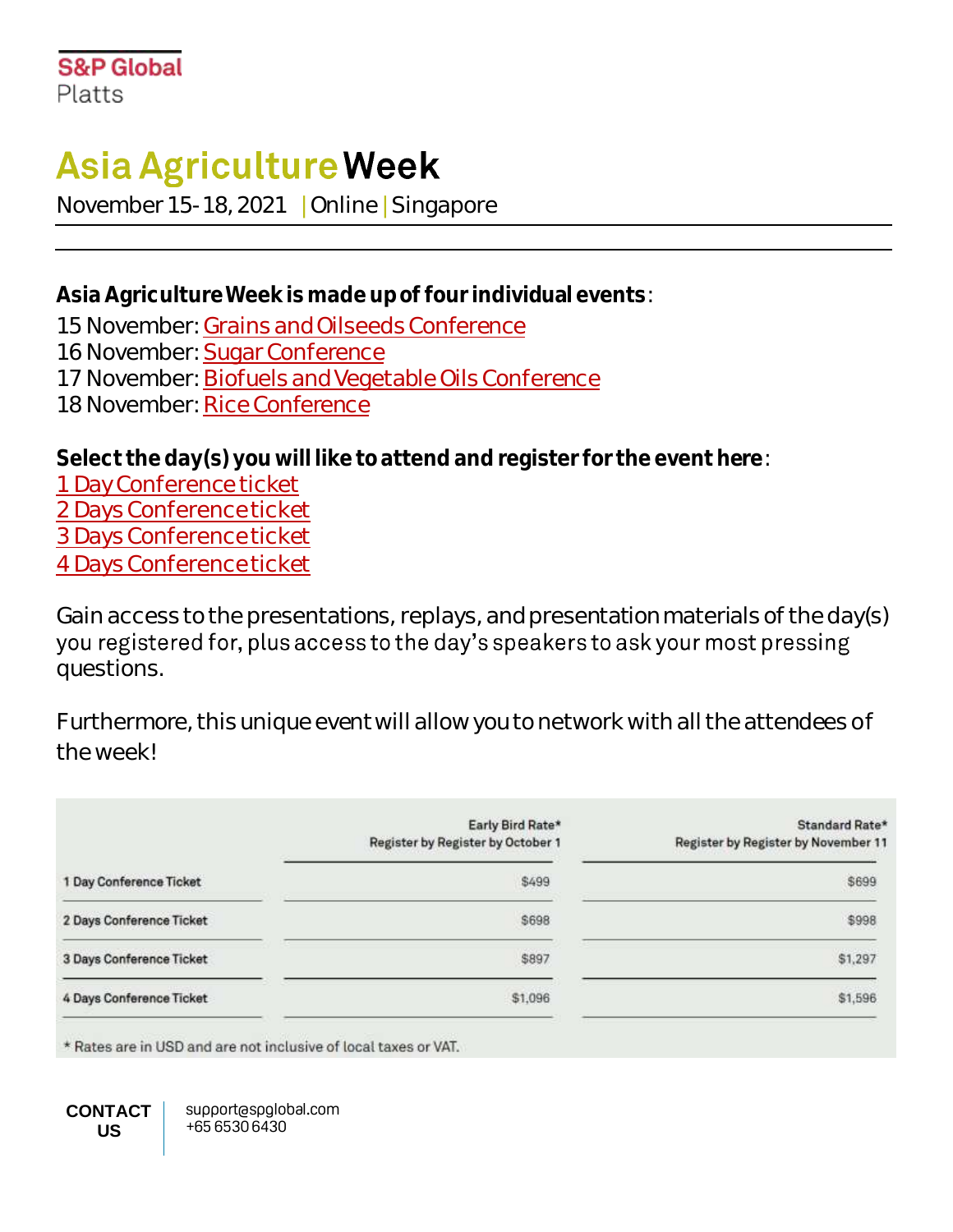# **Asia Agriculture Week**

November 15-18, 2021 | Online | Singapore

**Asia Agriculture Week is made up of four individual events**:

- 15 November[: Grains and Oilseeds Conference](https://plattsinfo.spglobal.com/AsiaAgricultureWeek-GrainsandOilseeds.html)
- 16 November[: Sugar Conference](https://plattsinfo.spglobal.com/AsiaAgricultureWeek-Sugar.html)
- 17 November[: Biofuels and Vegetable Oils Conference](https://plattsinfo.spglobal.com/AsiaAgricultureWeek-VegetableOilsandBiofuels.html)
- 18 November[: Rice Conference](https://plattsinfo.spglobal.com/AsiaAgricultureWeek-Rice.html)

**Select the day(s) you will like to attend and register for the event here**:

- [1 Day Conference ticket](https://cvent.me/EgdeVv?RefId=Delegate)
- [2 Days Conference ticket](https://cvent.me/L40zwE?RefId=Delegate)
- [3 Days Conference ticket](https://cvent.me/YPrnqD?RefId=Delegate)
- [4 Days Conference ticket](https://cvent.me/xkQMNR?RefId=Delegate)

Gain access to the presentations, replays, and presentation materials of the day(s) you registered for, plus access to the day's speakers to ask your most pressing questions.

Furthermore, this unique event will allow you to network with all the attendees of the week!

|                          | Early Bird Rate*<br>Register by Register by October 1 | Standard Rate*<br>Register by Register by November 11 |
|--------------------------|-------------------------------------------------------|-------------------------------------------------------|
| 1 Day Conference Ticket  | \$499                                                 | \$699                                                 |
| 2 Days Conference Ticket | \$698                                                 | \$998                                                 |
| 3 Days Conference Ticket | \$897                                                 | \$1,297                                               |
| 4 Days Conference Ticket | \$1,096                                               | \$1,596                                               |

\* Rates are in USD and are not inclusive of local taxes or VAT.

**CONTACT US**

[support@spglobal.com](mailto:support@spglobal.com) +65 6530 6430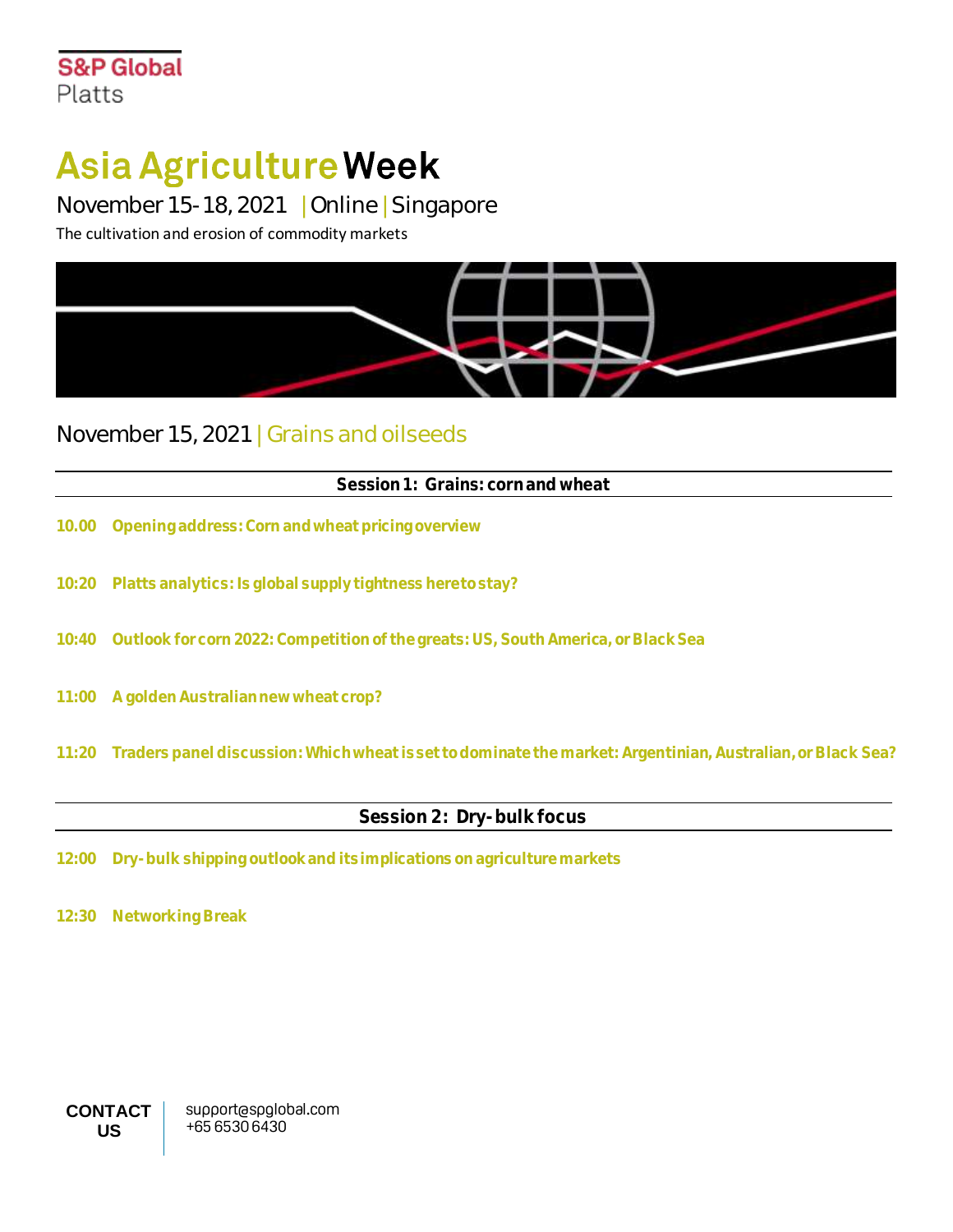# **Asia Agriculture Week**

November 15-18, 2021 | Online | Singapore

The cultivation and erosion of commodity markets



### November 15, 2021 | Grains and oilseeds

**Session 1: Grains: corn and wheat**

- **10.00 Opening address:Corn and wheat pricing overview**
- **10:20 Platts analytics: Is global supply tightness here to stay?**
- **10:40 Outlook for corn 2022: Competition of the greats: US, South America, or Black Sea**
- **11:00 A golden Australian new wheat crop?**
- **11:20 Traders panel discussion:Which wheat is set to dominate the market: Argentinian, Australian, or Black Sea?**

#### **Session 2: Dry-bulk focus**

**12:00 Dry-bulk shipping outlook and its implications on agriculture markets**

**12:30 Networking Break**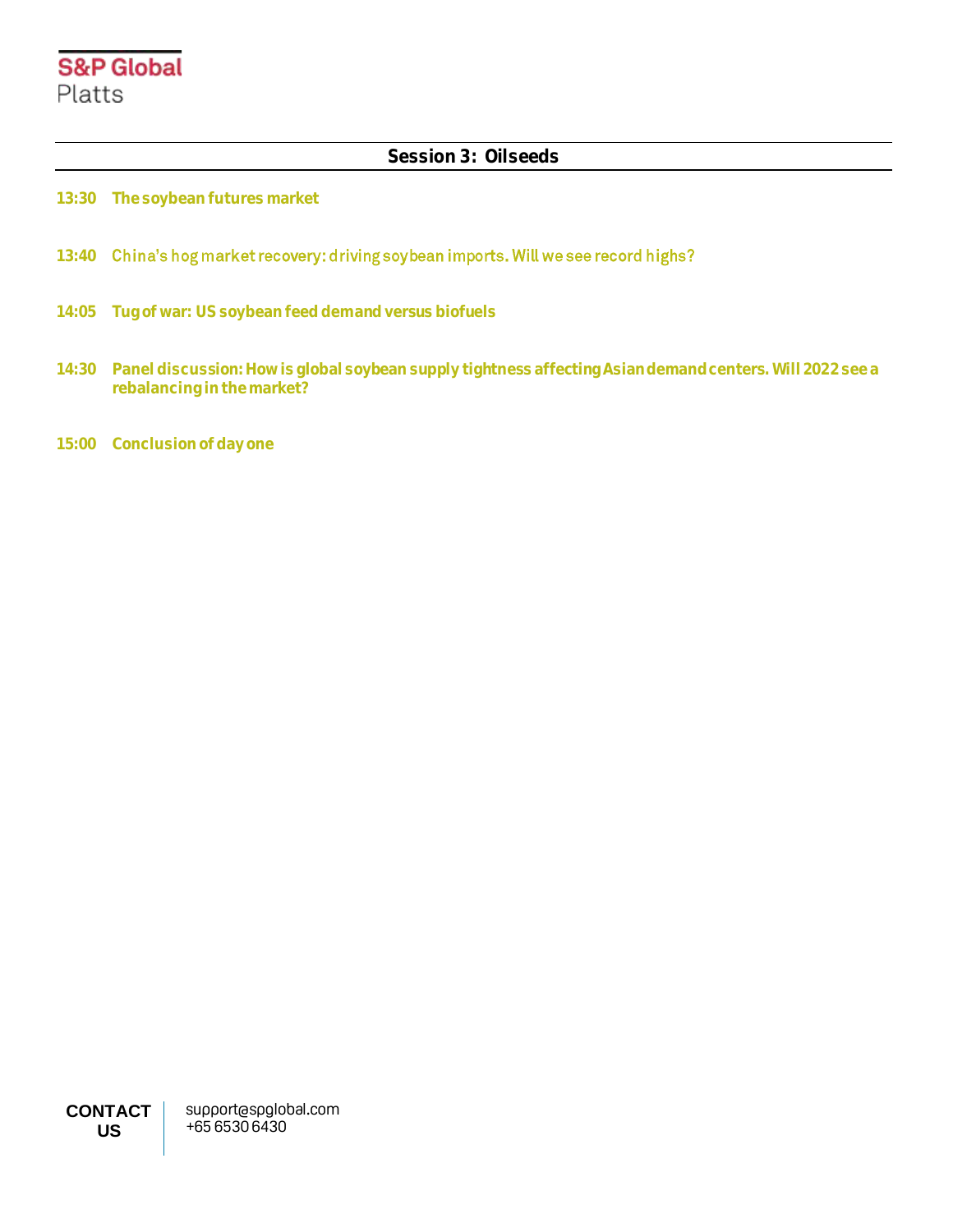#### **Session 3: Oilseeds**

#### **13:30 The soybean futures market**

- 13:40 China's hog market recovery: driving soybean imports. Will we see record highs?
- **14:05 Tug of war: US soybean feed demand versus biofuels**
- **14:30 Panel discussion: How is global soybean supply tightness affecting Asian demand centers. Will 2022see a rebalancing in the market?**
- **15:00 Conclusion of day one**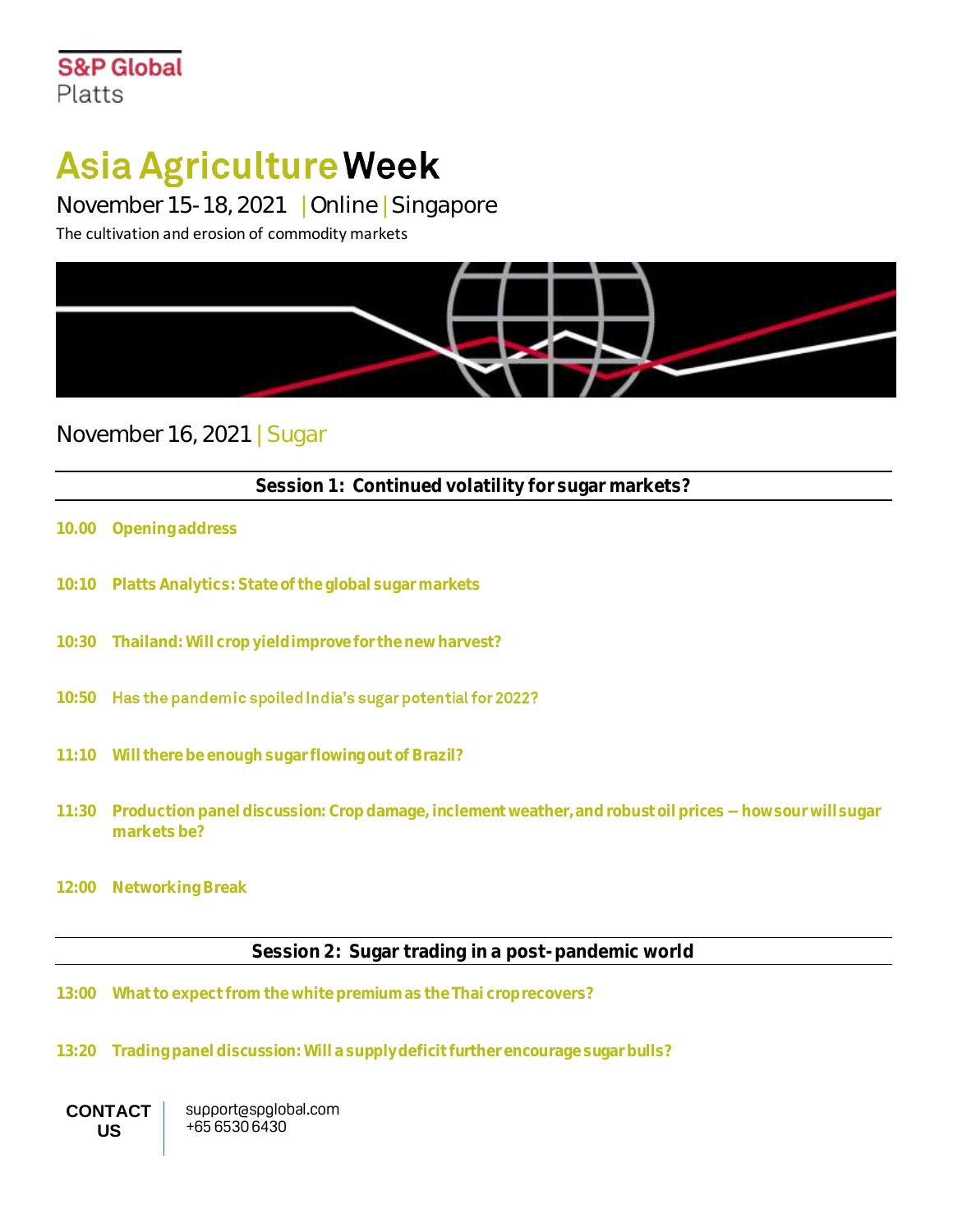## **Asia Agriculture Week**

November 15-18, 2021 | Online | Singapore

The cultivation and erosion of commodity markets



November 16, 2021 | Sugar

**Session 1: Continued volatility for sugar markets?**

- **10.00 Opening address**
- **10:10 Platts Analytics: State of the global sugar markets**
- **10:30 Thailand: Will crop yield improve for the new harvest?**
- 10:50 Has the pandemic spoiled India's sugar potential for 2022?
- **11:10 Will there be enough sugar flowing out of Brazil?**
- 11:30 Production panel discussion: Crop damage, inclement weather, and robust oil prices how sour will sugar **markets be?**
- **12:00 Networking Break**

#### **Session 2: Sugar trading in a post-pandemic world**

- **13:00 What to expect from the white premium as the Thai crop recovers?**
- **13:20 Trading panel discussion: Will a supply deficit further encourage sugar bulls?**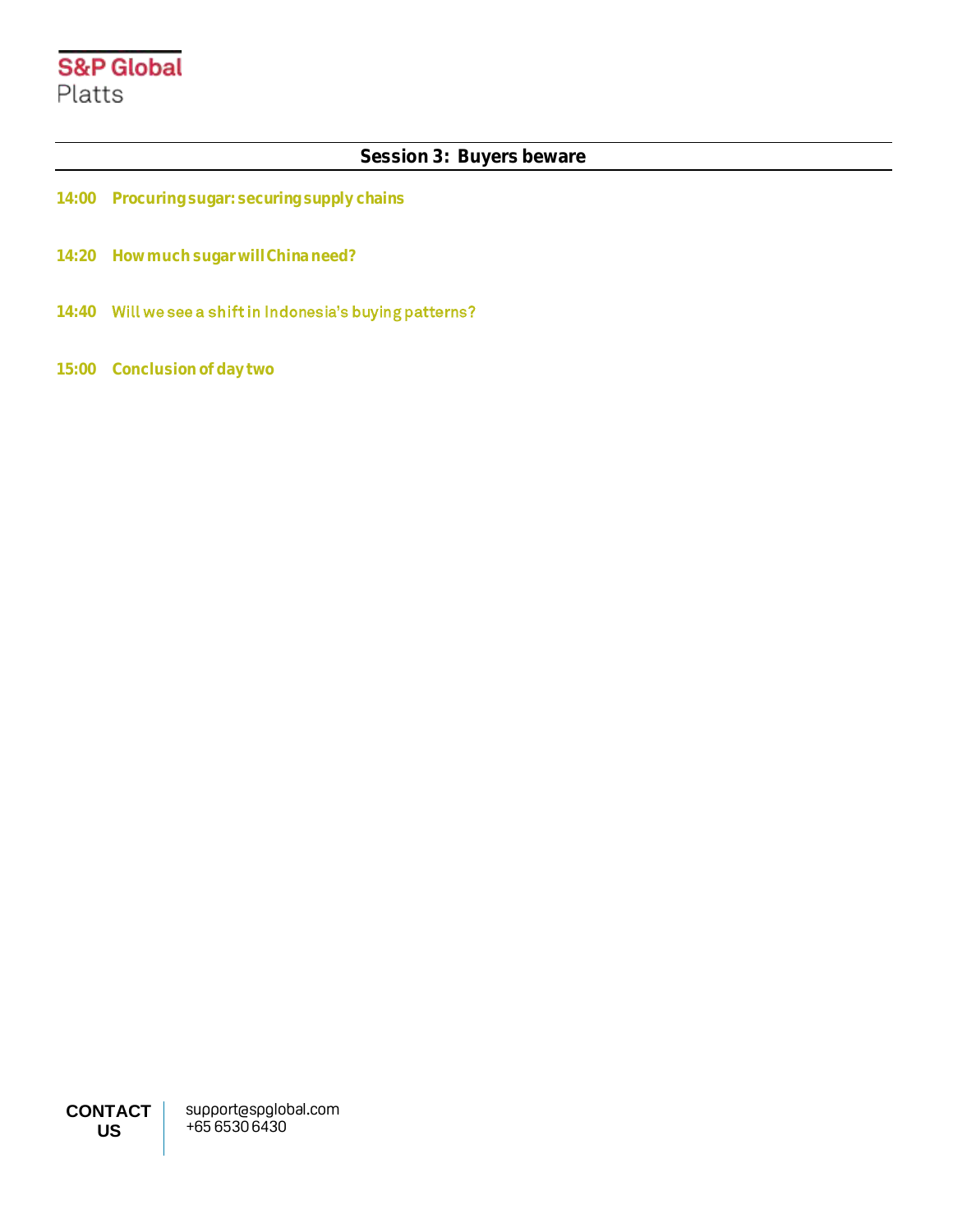#### **Session 3: Buyers beware**

- **14:00 Procuring sugar: securing supply chains**
- **14:20 How much sugar will China need?**
- 14:40 Will we see a shift in Indonesia's buying patterns?
- **15:00 Conclusion of day two**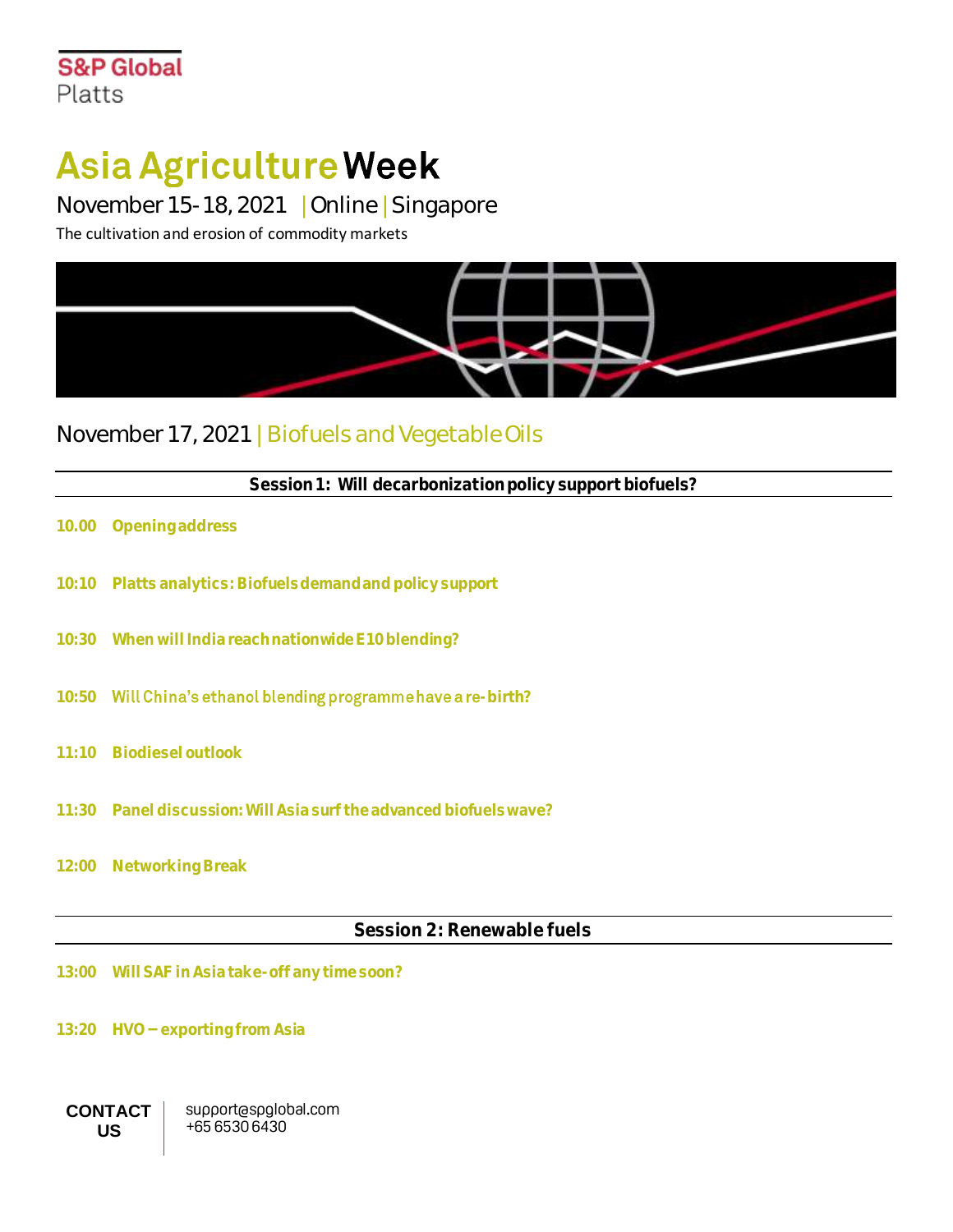# **Asia Agriculture Week**

November 15-18, 2021 | Online | Singapore

The cultivation and erosion of commodity markets



### November 17, 2021 | Biofuels and Vegetable Oils

**Session 1: Will decarbonization policy support biofuels?**

- **10.00 Opening address**
- **10:10 Platts analytics: Biofuels demand and policy support**
- **10:30 When will India reach nationwide E10 blending?**
- 10:50 Will China's ethanol blending programme have a re-birth?
- **11:10 Biodiesel outlook**
- **11:30 Panel discussion: Will Asia surf the advanced biofuels wave?**
- **12:00 Networking Break**

#### **Session 2: Renewable fuels**

- **13:00 Will SAF in Asia take-off any time soon?**
- **13:20 HVO exporting from Asia**



[support@spglobal.com](mailto:support@spglobal.com) +65 6530 6430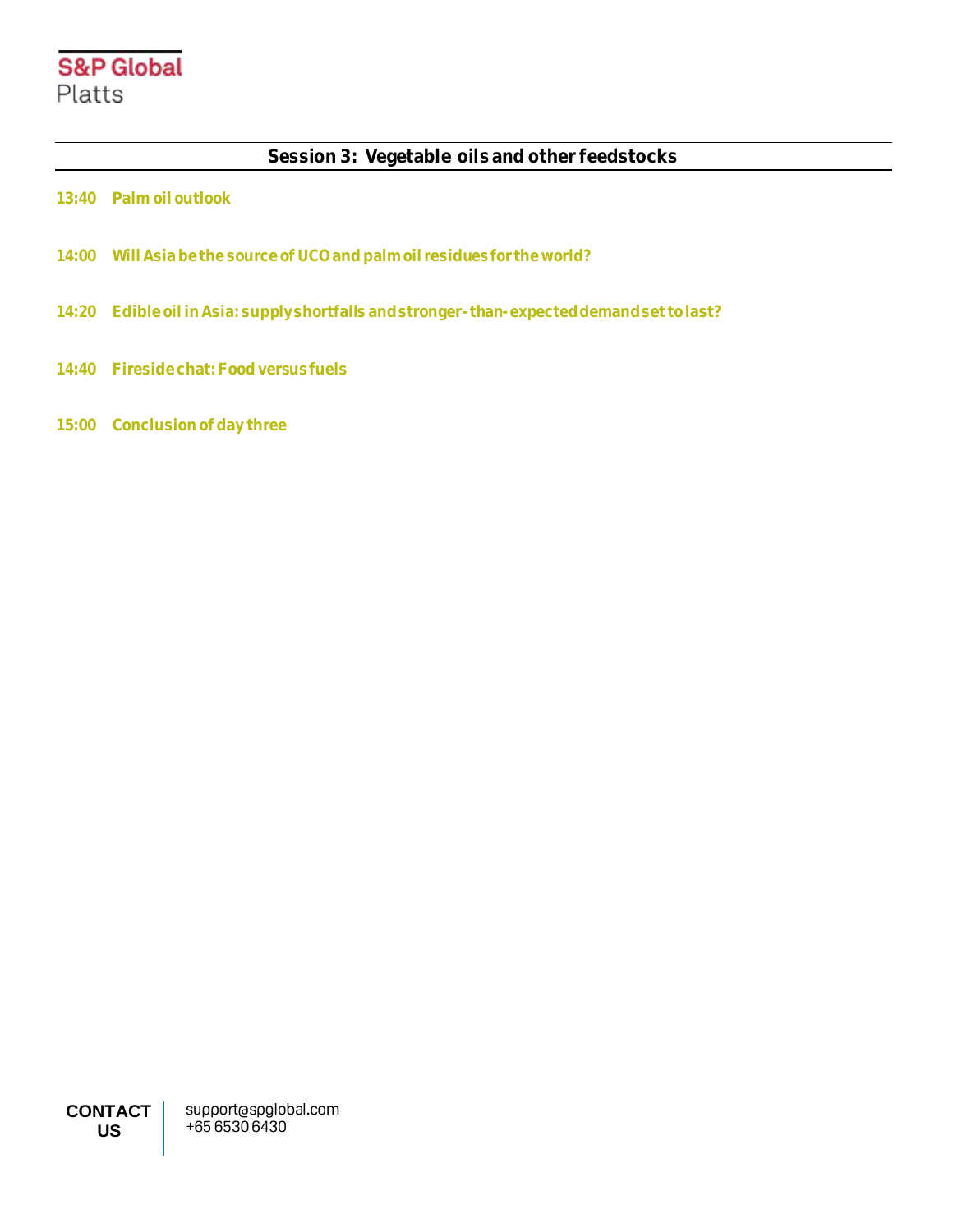### **Session 3: Vegetable oils and other feedstocks**

**13:40 Palm oil outlook**

- **14:00 Will Asia be the source of UCO and palm oil residues for the world?**
- **14:20 Edible oil in Asia: supply shortfalls and stronger-than-expected demand set to last?**
- **14:40 Fireside chat: Food versus fuels**
- **15:00 Conclusion of day three**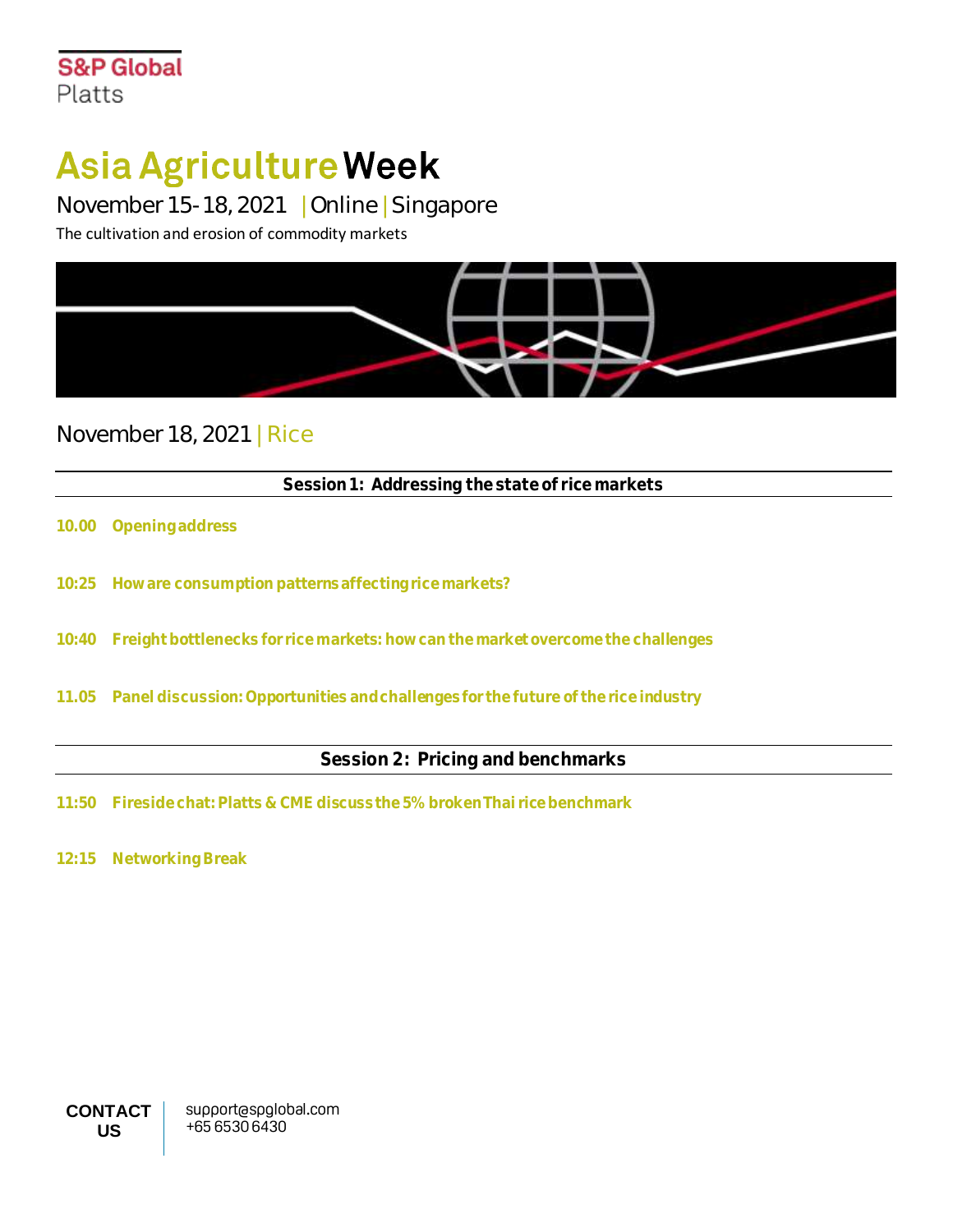## **Asia Agriculture Week**

November 15-18, 2021 | Online | Singapore

The cultivation and erosion of commodity markets



November 18, 2021 | Rice

**Session 1: Addressing the state ofrice markets**

- **10.00 Opening address**
- **10:25 How are consumption patterns affecting rice markets?**
- **10:40 Freight bottlenecks for rice markets: how can the market overcome the challenges**
- **11.05 Panel discussion:Opportunities and challenges for the future of the rice industry**

#### **Session 2: Pricing and benchmarks**

- **11:50 Fireside chat: Platts & CME discuss the 5% broken Thai rice benchmark**
- **12:15 Networking Break**